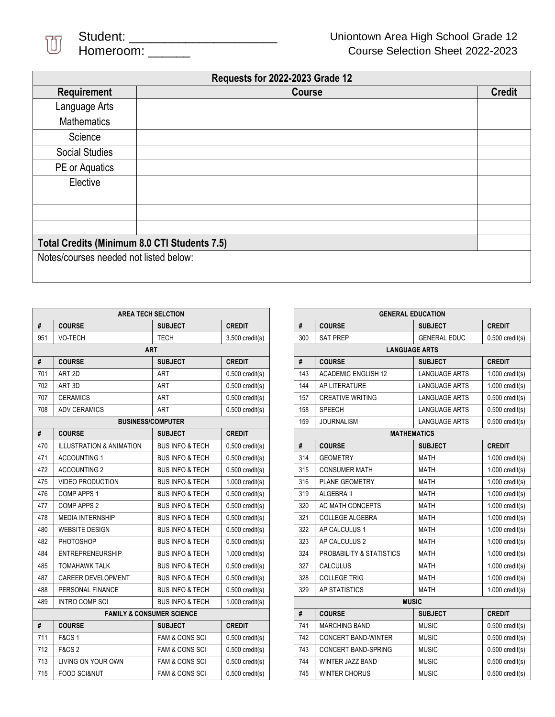

 $\overline{\phantom{a}}$ 

| <b>Requests for 2022-2023 Grade 12</b>       |               |               |  |  |  |
|----------------------------------------------|---------------|---------------|--|--|--|
| Requirement                                  | <b>Course</b> | <b>Credit</b> |  |  |  |
| Language Arts                                |               |               |  |  |  |
| <b>Mathematics</b>                           |               |               |  |  |  |
| Science                                      |               |               |  |  |  |
| <b>Social Studies</b>                        |               |               |  |  |  |
| PE or Aquatics                               |               |               |  |  |  |
| Elective                                     |               |               |  |  |  |
|                                              |               |               |  |  |  |
|                                              |               |               |  |  |  |
|                                              |               |               |  |  |  |
| Total Credits (Minimum 8.0 CTI Students 7.5) |               |               |  |  |  |
| Notes/courses needed not listed below:       |               |               |  |  |  |

 $\overline{a}$ 

| <b>AREA TECH SELCTION</b>            |                                                                           |                                                 |                   |  |  |  |
|--------------------------------------|---------------------------------------------------------------------------|-------------------------------------------------|-------------------|--|--|--|
| #                                    | <b>COURSE</b>                                                             | <b>CREDIT</b>                                   |                   |  |  |  |
| 951                                  | VO-TECH                                                                   | <b>TECH</b>                                     | $3.500$ credit(s) |  |  |  |
| <b>ART</b>                           |                                                                           |                                                 |                   |  |  |  |
| #                                    | <b>COURSE</b>                                                             | <b>SUBJECT</b>                                  | <b>CREDIT</b>     |  |  |  |
| 701                                  | ART <sub>2D</sub>                                                         | ART                                             | $0.500$ credit(s) |  |  |  |
| 702                                  | ART 3D                                                                    | <b>ART</b>                                      | $0.500$ credit(s) |  |  |  |
| 707                                  | <b>CERAMICS</b>                                                           | ART                                             | $0.500$ credit(s) |  |  |  |
| 708                                  | <b>ADV CERAMICS</b><br><b>ART</b>                                         |                                                 | $0.500$ credit(s) |  |  |  |
|                                      | <b>BUSINESS/COMPUTER</b>                                                  |                                                 |                   |  |  |  |
| #                                    | <b>COURSE</b>                                                             | <b>SUBJECT</b>                                  | <b>CREDIT</b>     |  |  |  |
| 470                                  | <b>ILLUSTRATION &amp; ANIMATION</b>                                       | <b>BUS INFO &amp; TECH</b>                      | $0.500$ credit(s) |  |  |  |
| 471                                  | <b>ACCOUNTING 1</b>                                                       | <b>BUS INFO &amp; TECH</b><br>$0.500$ credit(s) |                   |  |  |  |
| 472                                  | <b>ACCOUNTING 2</b>                                                       | <b>BUS INFO &amp; TECH</b>                      | $0.500$ credit(s) |  |  |  |
| 475                                  | <b>VIDEO PRODUCTION</b>                                                   | <b>BUS INFO &amp; TECH</b>                      | $1.000$ credit(s) |  |  |  |
| 476                                  | <b>COMP APPS 1</b>                                                        | <b>BUS INFO &amp; TECH</b>                      | $0.500$ credit(s) |  |  |  |
| 477                                  | COMP APPS 2                                                               | <b>BUS INFO &amp; TECH</b>                      | $0.500$ credit(s) |  |  |  |
| 478                                  | <b>MEDIA INTERNSHIP</b>                                                   | <b>BUS INFO &amp; TECH</b>                      | $0.500$ credit(s) |  |  |  |
| 480                                  | <b>WEBSITE DESIGN</b>                                                     | <b>BUS INFO &amp; TECH</b>                      | $0.500$ credit(s) |  |  |  |
| 482                                  | PHOTOSHOP                                                                 | <b>BUS INFO &amp; TECH</b><br>$0.500$ credit(s) |                   |  |  |  |
| 484                                  | <b>ENTREPRENEURSHIP</b>                                                   | <b>BUS INFO &amp; TECH</b><br>$1.000$ credit(s) |                   |  |  |  |
| 485                                  | <b>TOMAHAWK TALK</b>                                                      | <b>BUS INFO &amp; TECH</b>                      | $0.500$ credit(s) |  |  |  |
| 487                                  | <b>CAREER DEVELOPMENT</b>                                                 | <b>BUS INFO &amp; TECH</b>                      | $0.500$ credit(s) |  |  |  |
| 488                                  | PERSONAL FINANCE                                                          | <b>BUS INFO &amp; TECH</b>                      | $0.500$ credit(s) |  |  |  |
| 489                                  | INTRO COMP SCI                                                            | <b>BUS INFO &amp; TECH</b>                      | $1.000$ credit(s) |  |  |  |
| <b>FAMILY &amp; CONSUMER SCIENCE</b> |                                                                           |                                                 |                   |  |  |  |
| #                                    | <b>COURSE</b>                                                             | <b>SUBJECT</b>                                  | <b>CREDIT</b>     |  |  |  |
| 711                                  | <b>F&amp;CS1</b>                                                          | <b>FAM &amp; CONS SCI</b>                       | $0.500$ credit(s) |  |  |  |
| 712                                  | <b>F&amp;CS 2</b>                                                         | <b>FAM &amp; CONS SCI</b><br>$0.500$ credit(s)  |                   |  |  |  |
| 713                                  | LIVING ON YOUR OWN                                                        | <b>FAM &amp; CONS SCI</b>                       | $0.500$ credit(s) |  |  |  |
| 715                                  | <b>FOOD SCI&amp;NUT</b><br><b>FAM &amp; CONS SCI</b><br>$0.500$ credit(s) |                                                 |                   |  |  |  |

| <b>GENERAL EDUCATION</b> |                                                  |                      |                   |  |  |
|--------------------------|--------------------------------------------------|----------------------|-------------------|--|--|
| #                        | <b>COURSE</b>                                    | <b>SUBJECT</b>       | <b>CREDIT</b>     |  |  |
| 300                      | <b>SAT PREP</b>                                  | <b>GENERAL EDUC</b>  | $0.500$ credit(s) |  |  |
| <b>LANGUAGE ARTS</b>     |                                                  |                      |                   |  |  |
| #                        | <b>CREDIT</b><br><b>COURSE</b><br><b>SUBJECT</b> |                      |                   |  |  |
| 143                      | <b>ACADEMIC ENGLISH 12</b>                       | <b>LANGUAGE ARTS</b> | $1.000$ credit(s) |  |  |
| 144                      | AP LITERATURE                                    | <b>LANGUAGE ARTS</b> | $1.000$ credit(s) |  |  |
| 157                      | <b>CREATIVE WRITING</b>                          | <b>LANGUAGE ARTS</b> | $0.500$ credit(s) |  |  |
| 158                      | <b>SPEECH</b>                                    | <b>LANGUAGE ARTS</b> | $0.500$ credit(s) |  |  |
| 159                      | <b>JOURNALISM</b><br><b>LANGUAGE ARTS</b>        |                      | $0.500$ credit(s) |  |  |
| <b>MATHEMATICS</b>       |                                                  |                      |                   |  |  |
| #                        | <b>COURSE</b>                                    | <b>SUBJECT</b>       | <b>CREDIT</b>     |  |  |
| 314                      | <b>GEOMETRY</b>                                  | <b>MATH</b>          | $1.000$ credit(s) |  |  |
| 315                      | <b>CONSUMER MATH</b>                             | <b>MATH</b>          | $1.000$ credit(s) |  |  |
| 316                      | PLANE GEOMETRY                                   | <b>MATH</b>          | $1.000$ credit(s) |  |  |
| 319                      | ALGEBRA II                                       | <b>MATH</b>          | $1.000$ credit(s) |  |  |
| 320                      | AC MATH CONCEPTS                                 | <b>MATH</b>          | $1.000$ credit(s) |  |  |
| 321                      | <b>COLLEGE ALGEBRA</b>                           | <b>MATH</b>          | $1.000$ credit(s) |  |  |
| 322                      | AP CALCULUS 1                                    | <b>MATH</b>          | $1.000$ credit(s) |  |  |
| 323                      | AP CALCULUS 2                                    | <b>MATH</b>          | $1.000$ credit(s) |  |  |
| 324                      | PROBABILITY & STATISTICS                         | <b>MATH</b>          | $1.000$ credit(s) |  |  |
| 327                      | <b>CALCULUS</b>                                  | <b>MATH</b>          | $1.000$ credit(s) |  |  |
| 328                      | <b>COLLEGE TRIG</b>                              | <b>MATH</b>          | $1.000$ credit(s) |  |  |
| 329                      | AP STATISTICS                                    | <b>MATH</b>          | $1.000$ credit(s) |  |  |
| <b>MUSIC</b>             |                                                  |                      |                   |  |  |
| #                        | <b>COURSE</b>                                    | <b>SUBJECT</b>       | <b>CREDIT</b>     |  |  |
| 741                      | <b>MARCHING BAND</b>                             | <b>MUSIC</b>         | $0.500$ credit(s) |  |  |
| 742                      | <b>CONCERT BAND-WINTER</b>                       | <b>MUSIC</b>         | $0.500$ credit(s) |  |  |
| 743                      | <b>CONCERT BAND-SPRING</b>                       | <b>MUSIC</b>         | $0.500$ credit(s) |  |  |
| 744                      | <b>MUSIC</b><br><b>WINTER JAZZ BAND</b>          |                      | $0.500$ credit(s) |  |  |
| 745                      | <b>WINTER CHORUS</b>                             | <b>MUSIC</b>         | $0.500$ credit(s) |  |  |